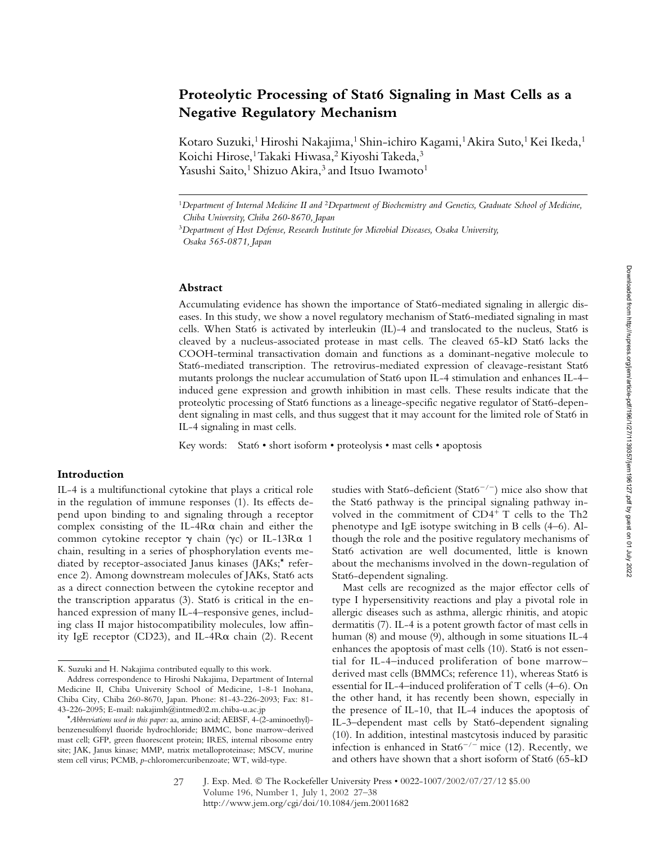# **Proteolytic Processing of Stat6 Signaling in Mast Cells as a Negative Regulatory Mechanism**

Kotaro Suzuki,<sup>1</sup> Hiroshi Nakajima,<sup>1</sup> Shin-ichiro Kagami,<sup>1</sup> Akira Suto,<sup>1</sup> Kei Ikeda,<sup>1</sup> Koichi Hirose,<sup>1</sup> Takaki Hiwasa,<sup>2</sup> Kiyoshi Takeda,<sup>3</sup> Yasushi Saito,<sup>1</sup> Shizuo Akira,<sup>3</sup> and Itsuo Iwamoto<sup>1</sup>

#### **Abstract**

Accumulating evidence has shown the importance of Stat6-mediated signaling in allergic diseases. In this study, we show a novel regulatory mechanism of Stat6-mediated signaling in mast cells. When Stat6 is activated by interleukin (IL)-4 and translocated to the nucleus, Stat6 is cleaved by a nucleus-associated protease in mast cells. The cleaved 65-kD Stat6 lacks the COOH-terminal transactivation domain and functions as a dominant-negative molecule to Stat6-mediated transcription. The retrovirus-mediated expression of cleavage-resistant Stat6 mutants prolongs the nuclear accumulation of Stat6 upon IL-4 stimulation and enhances IL-4– induced gene expression and growth inhibition in mast cells. These results indicate that the proteolytic processing of Stat6 functions as a lineage-specific negative regulator of Stat6-dependent signaling in mast cells, and thus suggest that it may account for the limited role of Stat6 in IL-4 signaling in mast cells.

Key words: Stat6 • short isoform • proteolysis • mast cells • apoptosis

## **Introduction**

IL-4 is a multifunctional cytokine that plays a critical role in the regulation of immune responses (1). Its effects depend upon binding to and signaling through a receptor complex consisting of the IL- $4R\alpha$  chain and either the common cytokine receptor  $\gamma$  chain ( $\gamma$ c) or IL-13R $\alpha$  1 chain, resulting in a series of phosphorylation events mediated by receptor-associated Janus kinases (JAKs;\* reference 2). Among downstream molecules of JAKs, Stat6 acts as a direct connection between the cytokine receptor and the transcription apparatus (3). Stat6 is critical in the enhanced expression of many IL-4–responsive genes, including class II major histocompatibility molecules, low affinity IgE receptor (CD23), and IL-4 $R\alpha$  chain (2). Recent

studies with Stat6-deficient (Stat6<sup>-/-</sup>) mice also show that the Stat6 pathway is the principal signaling pathway involved in the commitment of CD4<sup>+</sup> T cells to the Th2 phenotype and IgE isotype switching in B cells (4–6). Although the role and the positive regulatory mechanisms of Stat6 activation are well documented, little is known about the mechanisms involved in the down-regulation of Stat6-dependent signaling.

Mast cells are recognized as the major effector cells of type I hypersensitivity reactions and play a pivotal role in allergic diseases such as asthma, allergic rhinitis, and atopic dermatitis (7). IL-4 is a potent growth factor of mast cells in human (8) and mouse (9), although in some situations IL-4 enhances the apoptosis of mast cells (10). Stat6 is not essential for IL-4–induced proliferation of bone marrow– derived mast cells (BMMCs; reference 11), whereas Stat6 is essential for IL-4–induced proliferation of T cells (4–6). On the other hand, it has recently been shown, especially in the presence of IL-10, that IL-4 induces the apoptosis of IL-3–dependent mast cells by Stat6-dependent signaling (10). In addition, intestinal mastcytosis induced by parasitic infection is enhanced in Stat6<sup>-/-</sup> mice (12). Recently, we and others have shown that a short isoform of Stat6 (65-kD

<sup>1</sup>*Department of Internal Medicine II and* <sup>2</sup>*Department of Biochemistry and Genetics, Graduate School of Medicine, Chiba University, Chiba 260-8670, Japan*

<sup>3</sup>*Department of Host Defense, Research Institute for Microbial Diseases, Osaka University, Osaka 565-0871, Japan*

K. Suzuki and H. Nakajima contributed equally to this work.

Address correspondence to Hiroshi Nakajima, Department of Internal Medicine II, Chiba University School of Medicine, 1-8-1 Inohana, Chiba City, Chiba 260-8670, Japan. Phone: 81-43-226-2093; Fax: 81- 43-226-2095; E-mail: nakajimh@intmed02.m.chiba-u.ac.jp

<sup>\*</sup>*Abbreviations used in this paper:* aa, amino acid; AEBSF, 4-(2-aminoethyl) benzenesulfonyl fluoride hydrochloride; BMMC, bone marrow–derived mast cell; GFP, green fluorescent protein; IRES, internal ribosome entry site; JAK, Janus kinase; MMP, matrix metalloproteinase; MSCV, murine stem cell virus; PCMB, *p*-chloromercuribenzoate; WT, wild-type.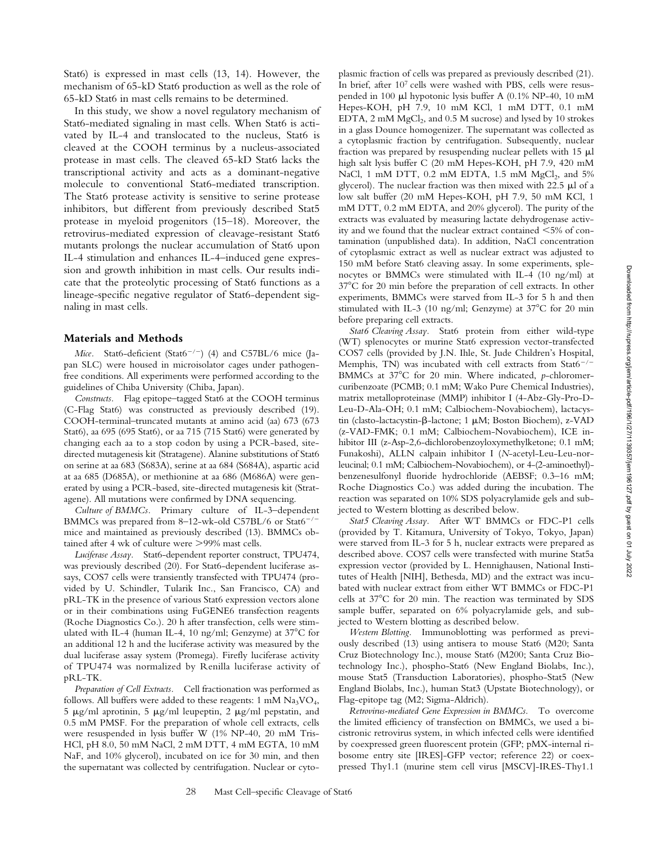Stat6) is expressed in mast cells (13, 14). However, the mechanism of 65-kD Stat6 production as well as the role of 65-kD Stat6 in mast cells remains to be determined.

In this study, we show a novel regulatory mechanism of Stat6-mediated signaling in mast cells. When Stat6 is activated by IL-4 and translocated to the nucleus, Stat6 is cleaved at the COOH terminus by a nucleus-associated protease in mast cells. The cleaved 65-kD Stat6 lacks the transcriptional activity and acts as a dominant-negative molecule to conventional Stat6-mediated transcription. The Stat6 protease activity is sensitive to serine protease inhibitors, but different from previously described Stat5 protease in myeloid progenitors (15–18). Moreover, the retrovirus-mediated expression of cleavage-resistant Stat6 mutants prolongs the nuclear accumulation of Stat6 upon IL-4 stimulation and enhances IL-4–induced gene expression and growth inhibition in mast cells. Our results indicate that the proteolytic processing of Stat6 functions as a lineage-specific negative regulator of Stat6-dependent signaling in mast cells.

#### **Materials and Methods**

*Mice.* Stat6-deficient (Stat6<sup>-/-</sup>) (4) and C57BL/6 mice (Japan SLC) were housed in microisolator cages under pathogenfree conditions. All experiments were performed according to the guidelines of Chiba University (Chiba, Japan).

*Constructs.* Flag epitope–tagged Stat6 at the COOH terminus (C-Flag Stat6) was constructed as previously described (19). COOH-terminal–truncated mutants at amino acid (aa) 673 (673 Stat6), aa 695 (695 Stat6), or aa 715 (715 Stat6) were generated by changing each aa to a stop codon by using a PCR-based, sitedirected mutagenesis kit (Stratagene). Alanine substitutions of Stat6 on serine at aa 683 (S683A), serine at aa 684 (S684A), aspartic acid at aa 685 (D685A), or methionine at aa 686 (M686A) were generated by using a PCR-based, site-directed mutagenesis kit (Stratagene). All mutations were confirmed by DNA sequencing.

*Culture of BMMCs.* Primary culture of IL-3–dependent BMMCs was prepared from 8–12-wk-old C57BL/6 or Stat6<sup>-/-</sup> mice and maintained as previously described (13). BMMCs obtained after 4 wk of culture were >99% mast cells.

*Luciferase Assay.* Stat6-dependent reporter construct, TPU474, was previously described (20). For Stat6-dependent luciferase assays, COS7 cells were transiently transfected with TPU474 (provided by U. Schindler, Tularik Inc., San Francisco, CA) and pRL-TK in the presence of various Stat6 expression vectors alone or in their combinations using FuGENE6 transfection reagents (Roche Diagnostics Co.). 20 h after transfection, cells were stimulated with IL-4 (human IL-4, 10 ng/ml; Genzyme) at  $37^{\circ}$ C for an additional 12 h and the luciferase activity was measured by the dual luciferase assay system (Promega). Firefly luciferase activity of TPU474 was normalized by Renilla luciferase activity of pRL-TK.

*Preparation of Cell Extracts.* Cell fractionation was performed as follows. All buffers were added to these reagents:  $1 \text{ mM } N a_3 V O_4$ , 5  $\mu$ g/ml aprotinin, 5  $\mu$ g/ml leupeptin, 2  $\mu$ g/ml pepstatin, and 0.5 mM PMSF. For the preparation of whole cell extracts, cells were resuspended in lysis buffer W (1% NP-40, 20 mM Tris-HCl, pH 8.0, 50 mM NaCl, 2 mM DTT, 4 mM EGTA, 10 mM NaF, and 10% glycerol), incubated on ice for 30 min, and then the supernatant was collected by centrifugation. Nuclear or cyto-

plasmic fraction of cells was prepared as previously described (21). In brief, after 107 cells were washed with PBS, cells were resuspended in 100 µl hypotonic lysis buffer A (0.1% NP-40, 10 mM Hepes-KOH, pH 7.9, 10 mM KCl, 1 mM DTT, 0.1 mM EDTA, 2 mM MgCl<sub>2</sub>, and 0.5 M sucrose) and lysed by 10 strokes in a glass Dounce homogenizer. The supernatant was collected as a cytoplasmic fraction by centrifugation. Subsequently, nuclear fraction was prepared by resuspending nuclear pellets with  $15 \mu l$ high salt lysis buffer C (20 mM Hepes-KOH, pH 7.9, 420 mM NaCl, 1 mM DTT,  $0.2$  mM EDTA,  $1.5$  mM MgCl<sub>2</sub>, and  $5\%$ glycerol). The nuclear fraction was then mixed with  $22.5 \mu$ l of a low salt buffer (20 mM Hepes-KOH, pH 7.9, 50 mM KCl, 1 mM DTT, 0.2 mM EDTA, and 20% glycerol). The purity of the extracts was evaluated by measuring lactate dehydrogenase activity and we found that the nuclear extract contained  $\leq 5\%$  of contamination (unpublished data). In addition, NaCl concentration of cytoplasmic extract as well as nuclear extract was adjusted to 150 mM before Stat6 cleaving assay. In some experiments, splenocytes or BMMCs were stimulated with IL-4 (10 ng/ml) at 37°C for 20 min before the preparation of cell extracts. In other experiments, BMMCs were starved from IL-3 for 5 h and then stimulated with IL-3 (10 ng/ml; Genzyme) at  $37^{\circ}$ C for 20 min before preparing cell extracts.

*Stat6 Cleaving Assay.* Stat6 protein from either wild-type (WT) splenocytes or murine Stat6 expression vector-transfected COS7 cells (provided by J.N. Ihle, St. Jude Children's Hospital, Memphis, TN) was incubated with cell extracts from Stat6<sup>-/-</sup> BMMCs at 37°C for 20 min. Where indicated, *p*-chloromercuribenzoate (PCMB; 0.1 mM; Wako Pure Chemical Industries), matrix metalloproteinase (MMP) inhibitor I (4-Abz-Gly-Pro-D-Leu-D-Ala-OH; 0.1 mM; Calbiochem-Novabiochem), lactacystin (clasto-lactacystin- $\beta$ -lactone; 1 µM; Boston Biochem), z-VAD (z-VAD-FMK; 0.1 mM; Calbiochem-Novabiochem), ICE inhibitor III (z-Asp-2,6-dichlorobenzoyloxymethylketone; 0.1 mM; Funakoshi), ALLN calpain inhibitor I (*N*-acetyl-Leu-Leu-norleucinal; 0.1 mM; Calbiochem-Novabiochem), or 4-(2-aminoethyl) benzenesulfonyl fluoride hydrochloride (AEBSF; 0.3–16 mM; Roche Diagnostics Co.) was added during the incubation. The reaction was separated on 10% SDS polyacrylamide gels and subjected to Western blotting as described below.

*Stat5 Cleaving Assay.* After WT BMMCs or FDC-P1 cells (provided by T. Kitamura, University of Tokyo, Tokyo, Japan) were starved from IL-3 for 5 h, nuclear extracts were prepared as described above. COS7 cells were transfected with murine Stat5a expression vector (provided by L. Hennighausen, National Institutes of Health [NIH], Bethesda, MD) and the extract was incubated with nuclear extract from either WT BMMCs or FDC-P1 cells at  $37^{\circ}$ C for 20 min. The reaction was terminated by SDS sample buffer, separated on 6% polyacrylamide gels, and subjected to Western blotting as described below.

*Western Blotting.* Immunoblotting was performed as previously described (13) using antisera to mouse Stat6 (M20; Santa Cruz Biotechnology Inc.), mouse Stat6 (M200; Santa Cruz Biotechnology Inc.), phospho-Stat6 (New England Biolabs, Inc.), mouse Stat5 (Transduction Laboratories), phospho-Stat5 (New England Biolabs, Inc.), human Stat3 (Upstate Biotechnology), or Flag-epitope tag (M2; Sigma-Aldrich).

*Retrovirus-mediated Gene Expression in BMMCs.* To overcome the limited efficiency of transfection on BMMCs, we used a bicistronic retrovirus system, in which infected cells were identified by coexpressed green fluorescent protein (GFP; pMX-internal ribosome entry site [IRES]-GFP vector; reference 22) or coexpressed Thy1.1 (murine stem cell virus [MSCV]-IRES-Thy1.1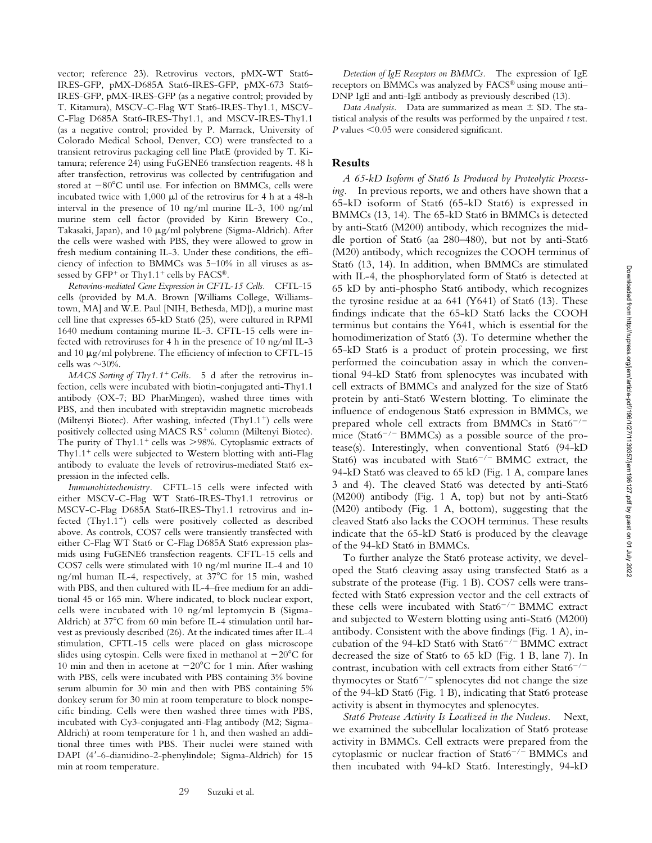vector; reference 23). Retrovirus vectors, pMX-WT Stat6- IRES-GFP, pMX-D685A Stat6-IRES-GFP, pMX-673 Stat6- IRES-GFP, pMX-IRES-GFP (as a negative control; provided by T. Kitamura), MSCV-C-Flag WT Stat6-IRES-Thy1.1, MSCV-C-Flag D685A Stat6-IRES-Thy1.1, and MSCV-IRES-Thy1.1 (as a negative control; provided by P. Marrack, University of Colorado Medical School, Denver, CO) were transfected to a transient retrovirus packaging cell line PlatE (provided by T. Kitamura; reference 24) using FuGENE6 transfection reagents. 48 h after transfection, retrovirus was collected by centrifugation and stored at  $-80^{\circ}$ C until use. For infection on BMMCs, cells were incubated twice with 1,000  $\mu$ l of the retrovirus for 4 h at a 48-h interval in the presence of 10 ng/ml murine IL-3, 100 ng/ml murine stem cell factor (provided by Kirin Brewery Co., Takasaki, Japan), and 10  $\mu$ g/ml polybrene (Sigma-Aldrich). After the cells were washed with PBS, they were allowed to grow in fresh medium containing IL-3. Under these conditions, the efficiency of infection to BMMCs was 5–10% in all viruses as assessed by  $GFP^+$  or Thy1.1<sup>+</sup> cells by  $FACS^{\circledR}$ .

*Retrovirus-mediated Gene Expression in CFTL-15 Cells.* CFTL-15 cells (provided by M.A. Brown [Williams College, Williamstown, MA] and W.E. Paul [NIH, Bethesda, MD]), a murine mast cell line that expresses 65-kD Stat6 (25), were cultured in RPMI 1640 medium containing murine IL-3. CFTL-15 cells were infected with retroviruses for 4 h in the presence of 10 ng/ml IL-3 and 10  $\mu$ g/ml polybrene. The efficiency of infection to CFTL-15 cells was  $\sim$ 30%.

*MACS Sorting of Thy1.1<sup>+</sup> Cells.* 5 d after the retrovirus infection, cells were incubated with biotin-conjugated anti-Thy1.1 antibody (OX-7; BD PharMingen), washed three times with PBS, and then incubated with streptavidin magnetic microbeads (Miltenyi Biotec). After washing, infected  $(Thy1.1^+)$  cells were positively collected using MACS RS<sup>+</sup> column (Miltenyi Biotec). The purity of Thy1.1<sup>+</sup> cells was  $>98\%$ . Cytoplasmic extracts of Thy $1.1$ <sup>+</sup> cells were subjected to Western blotting with anti-Flag antibody to evaluate the levels of retrovirus-mediated Stat6 expression in the infected cells.

*Immunohistochemistry.* CFTL-15 cells were infected with either MSCV-C-Flag WT Stat6-IRES-Thy1.1 retrovirus or MSCV-C-Flag D685A Stat6-IRES-Thy1.1 retrovirus and infected (Thy1.1<sup>+</sup>) cells were positively collected as described above. As controls, COS7 cells were transiently transfected with either C-Flag WT Stat6 or C-Flag D685A Stat6 expression plasmids using FuGENE6 transfection reagents. CFTL-15 cells and COS7 cells were stimulated with 10 ng/ml murine IL-4 and 10 ng/ml human IL-4, respectively, at 37°C for 15 min, washed with PBS, and then cultured with IL-4–free medium for an additional 45 or 165 min. Where indicated, to block nuclear export, cells were incubated with 10 ng/ml leptomycin B (Sigma-Aldrich) at 37°C from 60 min before IL-4 stimulation until harvest as previously described (26). At the indicated times after IL-4 stimulation, CFTL-15 cells were placed on glass microscope slides using cytospin. Cells were fixed in methanol at  $-20^{\circ}$ C for 10 min and then in acetone at  $-20^{\circ}$ C for 1 min. After washing with PBS, cells were incubated with PBS containing 3% bovine serum albumin for 30 min and then with PBS containing 5% donkey serum for 30 min at room temperature to block nonspecific binding. Cells were then washed three times with PBS, incubated with Cy3-conjugated anti-Flag antibody (M2; Sigma-Aldrich) at room temperature for 1 h, and then washed an additional three times with PBS. Their nuclei were stained with DAPI (4-6-diamidino-2-phenylindole; Sigma-Aldrich) for 15 min at room temperature.

*Detection of IgE Receptors on BMMCs.* The expression of IgE receptors on BMMCs was analyzed by FACS® using mouse anti– DNP IgE and anti-IgE antibody as previously described (13).

*Data Analysis.* Data are summarized as mean  $\pm$  SD. The statistical analysis of the results was performed by the unpaired *t* test. *P* values <0.05 were considered significant.

#### **Results**

*A 65-kD Isoform of Stat6 Is Produced by Proteolytic Processing.* In previous reports, we and others have shown that a 65-kD isoform of Stat6 (65-kD Stat6) is expressed in BMMCs (13, 14). The 65-kD Stat6 in BMMCs is detected by anti-Stat6 (M200) antibody, which recognizes the middle portion of Stat6 (aa 280–480), but not by anti-Stat6 (M20) antibody, which recognizes the COOH terminus of Stat6 (13, 14). In addition, when BMMCs are stimulated with IL-4, the phosphorylated form of Stat6 is detected at 65 kD by anti-phospho Stat6 antibody, which recognizes the tyrosine residue at aa  $641$  (Y641) of Stat6 (13). These findings indicate that the 65-kD Stat6 lacks the COOH terminus but contains the Y641, which is essential for the homodimerization of Stat6 (3). To determine whether the 65-kD Stat6 is a product of protein processing, we first performed the coincubation assay in which the conventional 94-kD Stat6 from splenocytes was incubated with cell extracts of BMMCs and analyzed for the size of Stat6 protein by anti-Stat6 Western blotting. To eliminate the influence of endogenous Stat6 expression in BMMCs, we prepared whole cell extracts from BMMCs in Stat $6^{-/-}$ mice (Stat6<sup>-/-</sup> BMMCs) as a possible source of the protease(s). Interestingly, when conventional Stat6 (94-kD Stat6) was incubated with Stat6<sup>-/-</sup> BMMC extract, the 94-kD Stat6 was cleaved to 65 kD (Fig. 1 A, compare lanes 3 and 4). The cleaved Stat6 was detected by anti-Stat6 (M200) antibody (Fig. 1 A, top) but not by anti-Stat6 (M20) antibody (Fig. 1 A, bottom), suggesting that the cleaved Stat6 also lacks the COOH terminus. These results indicate that the 65-kD Stat6 is produced by the cleavage of the 94-kD Stat6 in BMMCs.

To further analyze the Stat6 protease activity, we developed the Stat6 cleaving assay using transfected Stat6 as a substrate of the protease (Fig. 1 B). COS7 cells were transfected with Stat6 expression vector and the cell extracts of these cells were incubated with  $Stat6^{-/-}$  BMMC extract and subjected to Western blotting using anti-Stat6 (M200) antibody. Consistent with the above findings (Fig. 1 A), incubation of the 94-kD Stat6 with Stat6<sup>-/-</sup> BMMC extract decreased the size of Stat6 to 65 kD (Fig. 1 B, lane 7). In contrast, incubation with cell extracts from either Stat6<sup>-/-</sup> thymocytes or Stat $6^{-/-}$  splenocytes did not change the size of the 94-kD Stat6 (Fig. 1 B), indicating that Stat6 protease activity is absent in thymocytes and splenocytes.

*Stat6 Protease Activity Is Localized in the Nucleus.* Next, we examined the subcellular localization of Stat6 protease activity in BMMCs. Cell extracts were prepared from the cytoplasmic or nuclear fraction of  $Stat6^{-/-}$  BMMCs and then incubated with 94-kD Stat6. Interestingly, 94-kD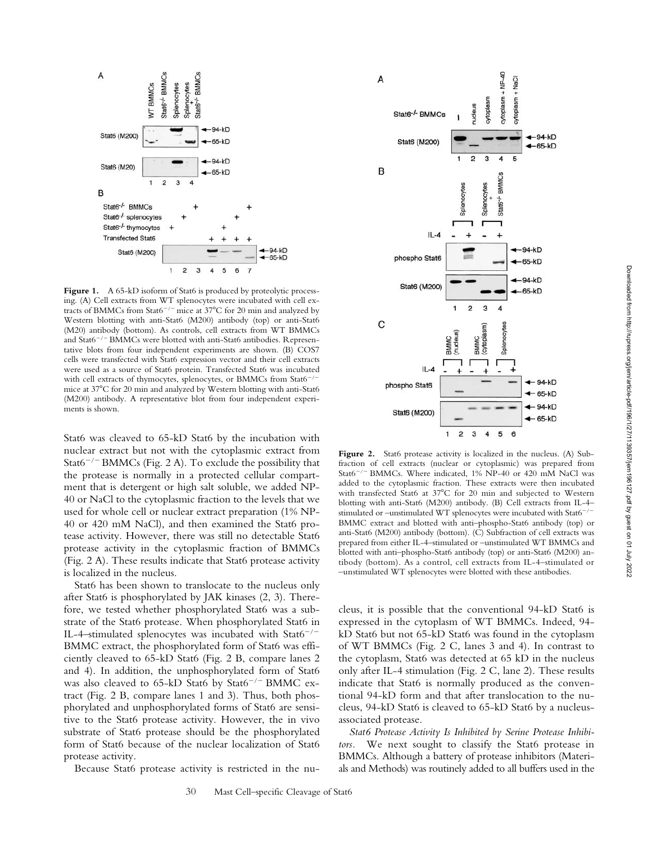

Figure 1. A 65-kD isoform of Stat6 is produced by proteolytic processing. (A) Cell extracts from WT splenocytes were incubated with cell extracts of BMMCs from Stat6<sup>-/-</sup> mice at 37°C for 20 min and analyzed by Western blotting with anti-Stat6 (M200) antibody (top) or anti-Stat6 (M20) antibody (bottom). As controls, cell extracts from WT BMMCs and Stat6<sup>-/-</sup> BMMCs were blotted with anti-Stat6 antibodies. Representative blots from four independent experiments are shown. (B) COS7 cells were transfected with Stat6 expression vector and their cell extracts were used as a source of Stat6 protein. Transfected Stat6 was incubated with cell extracts of thymocytes, splenocytes, or BMMCs from Stat6<sup>-</sup> mice at 37°C for 20 min and analyzed by Western blotting with anti-Stat6 (M200) antibody. A representative blot from four independent experiments is shown.

Stat6 was cleaved to 65-kD Stat6 by the incubation with nuclear extract but not with the cytoplasmic extract from Stat $6^{-/-}$ BMMCs (Fig. 2 A). To exclude the possibility that the protease is normally in a protected cellular compartment that is detergent or high salt soluble, we added NP-40 or NaCl to the cytoplasmic fraction to the levels that we used for whole cell or nuclear extract preparation (1% NP-40 or 420 mM NaCl), and then examined the Stat6 protease activity. However, there was still no detectable Stat6 protease activity in the cytoplasmic fraction of BMMCs (Fig. 2 A). These results indicate that Stat6 protease activity is localized in the nucleus.

Stat6 has been shown to translocate to the nucleus only after Stat6 is phosphorylated by JAK kinases (2, 3). Therefore, we tested whether phosphorylated Stat6 was a substrate of the Stat6 protease. When phosphorylated Stat6 in IL-4-stimulated splenocytes was incubated with Stat6<sup>-/-</sup> BMMC extract, the phosphorylated form of Stat6 was efficiently cleaved to 65-kD Stat6 (Fig. 2 B, compare lanes 2 and 4). In addition, the unphosphorylated form of Stat6 was also cleaved to  $65-kD$  Stat6 by Stat6<sup>-/-</sup> BMMC extract (Fig. 2 B, compare lanes 1 and 3). Thus, both phosphorylated and unphosphorylated forms of Stat6 are sensitive to the Stat6 protease activity. However, the in vivo substrate of Stat6 protease should be the phosphorylated form of Stat6 because of the nuclear localization of Stat6 protease activity.

Because Stat6 protease activity is restricted in the nu-



Figure 2. Stat6 protease activity is localized in the nucleus. (A) Subfraction of cell extracts (nuclear or cytoplasmic) was prepared from Stat6<sup>-/-</sup> BMMCs. Where indicated, 1% NP-40 or 420 mM NaCl was added to the cytoplasmic fraction. These extracts were then incubated with transfected Stat6 at 37°C for 20 min and subjected to Western blotting with anti-Stat6 (M200) antibody. (B) Cell extracts from IL-4– stimulated or -unstimulated WT splenocytes were incubated with Stat6<sup>-/-</sup> BMMC extract and blotted with anti–phospho-Stat6 antibody (top) or anti-Stat6 (M200) antibody (bottom). (C) Subfraction of cell extracts was prepared from either IL-4–stimulated or –unstimulated WT BMMCs and blotted with anti–phospho-Stat6 antibody (top) or anti-Stat6 (M200) antibody (bottom). As a control, cell extracts from IL-4–stimulated or –unstimulated WT splenocytes were blotted with these antibodies.

cleus, it is possible that the conventional 94-kD Stat6 is expressed in the cytoplasm of WT BMMCs. Indeed, 94 kD Stat6 but not 65-kD Stat6 was found in the cytoplasm of WT BMMCs (Fig. 2 C, lanes 3 and 4). In contrast to the cytoplasm, Stat6 was detected at 65 kD in the nucleus only after IL-4 stimulation (Fig. 2 C, lane 2). These results indicate that Stat6 is normally produced as the conventional 94-kD form and that after translocation to the nucleus, 94-kD Stat6 is cleaved to 65-kD Stat6 by a nucleusassociated protease.

*Stat6 Protease Activity Is Inhibited by Serine Protease Inhibitors.* We next sought to classify the Stat6 protease in BMMCs. Although a battery of protease inhibitors (Materials and Methods) was routinely added to all buffers used in the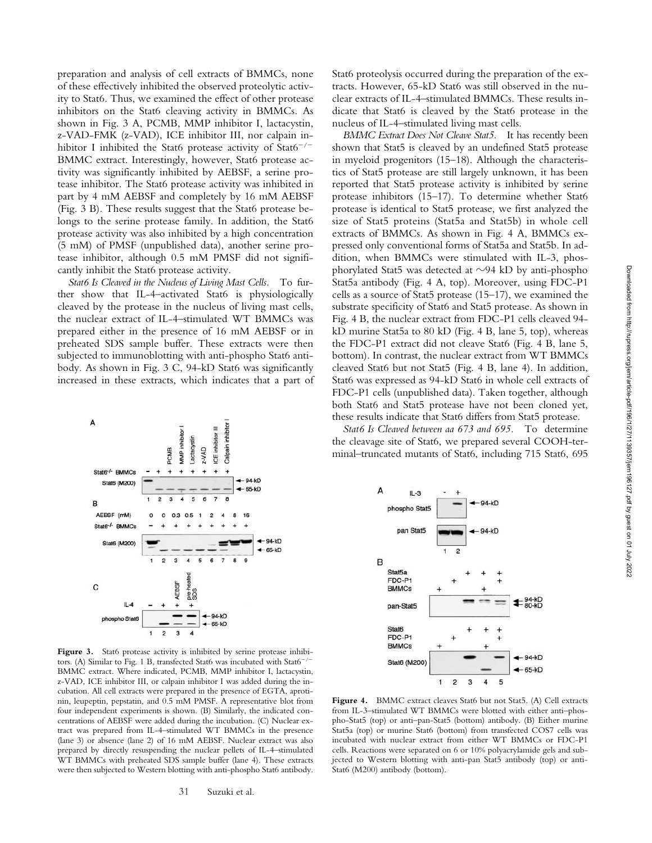preparation and analysis of cell extracts of BMMCs, none of these effectively inhibited the observed proteolytic activity to Stat6. Thus, we examined the effect of other protease inhibitors on the Stat6 cleaving activity in BMMCs. As shown in Fig. 3 A, PCMB, MMP inhibitor I, lactacystin, z-VAD-FMK (z-VAD), ICE inhibitor III, nor calpain inhibitor I inhibited the Stat6 protease activity of  $Stat6^{-/-}$ BMMC extract. Interestingly, however, Stat6 protease activity was significantly inhibited by AEBSF, a serine protease inhibitor. The Stat6 protease activity was inhibited in part by 4 mM AEBSF and completely by 16 mM AEBSF (Fig. 3 B). These results suggest that the Stat6 protease belongs to the serine protease family. In addition, the Stat6 protease activity was also inhibited by a high concentration (5 mM) of PMSF (unpublished data), another serine protease inhibitor, although 0.5 mM PMSF did not significantly inhibit the Stat6 protease activity.

*Stat6 Is Cleaved in the Nucleus of Living Mast Cells.* To further show that IL-4–activated Stat6 is physiologically cleaved by the protease in the nucleus of living mast cells, the nuclear extract of IL-4–stimulated WT BMMCs was prepared either in the presence of 16 mM AEBSF or in preheated SDS sample buffer. These extracts were then subjected to immunoblotting with anti-phospho Stat6 antibody. As shown in Fig. 3 C, 94-kD Stat6 was significantly increased in these extracts, which indicates that a part of



Figure 3. Stat6 protease activity is inhibited by serine protease inhibitors. (A) Similar to Fig. 1 B, transfected Stat6 was incubated with Stat6<sup>-/-</sup> BMMC extract. Where indicated, PCMB, MMP inhibitor I, lactacystin, z-VAD, ICE inhibitor III, or calpain inhibitor I was added during the incubation. All cell extracts were prepared in the presence of EGTA, aprotinin, leupeptin, pepstatin, and 0.5 mM PMSF. A representative blot from four independent experiments is shown. (B) Similarly, the indicated concentrations of AEBSF were added during the incubation. (C) Nuclear extract was prepared from IL-4–stimulated WT BMMCs in the presence (lane 3) or absence (lane 2) of 16 mM AEBSF. Nuclear extract was also prepared by directly resuspending the nuclear pellets of IL-4–stimulated WT BMMCs with preheated SDS sample buffer (lane 4). These extracts were then subjected to Western blotting with anti-phospho Stat6 antibody.

Stat6 proteolysis occurred during the preparation of the extracts. However, 65-kD Stat6 was still observed in the nuclear extracts of IL-4–stimulated BMMCs. These results indicate that Stat6 is cleaved by the Stat6 protease in the nucleus of IL-4–stimulated living mast cells.

*BMMC Extract Does Not Cleave Stat5.* It has recently been shown that Stat5 is cleaved by an undefined Stat5 protease in myeloid progenitors (15–18). Although the characteristics of Stat5 protease are still largely unknown, it has been reported that Stat5 protease activity is inhibited by serine protease inhibitors (15–17). To determine whether Stat6 protease is identical to Stat5 protease, we first analyzed the size of Stat5 proteins (Stat5a and Stat5b) in whole cell extracts of BMMCs. As shown in Fig. 4 A, BMMCs expressed only conventional forms of Stat5a and Stat5b. In addition, when BMMCs were stimulated with IL-3, phosphorylated Stat5 was detected at  $\sim$ 94 kD by anti-phospho Stat5a antibody (Fig. 4 A, top). Moreover, using FDC-P1 cells as a source of Stat5 protease (15–17), we examined the substrate specificity of Stat6 and Stat5 protease. As shown in Fig. 4 B, the nuclear extract from FDC-P1 cells cleaved 94 kD murine Stat5a to 80 kD (Fig. 4 B, lane 5, top), whereas the FDC-P1 extract did not cleave Stat6 (Fig. 4 B, lane 5, bottom). In contrast, the nuclear extract from WT BMMCs cleaved Stat6 but not Stat5 (Fig. 4 B, lane 4). In addition, Stat6 was expressed as 94-kD Stat6 in whole cell extracts of FDC-P1 cells (unpublished data). Taken together, although both Stat6 and Stat5 protease have not been cloned yet, these results indicate that Stat6 differs from Stat5 protease.

*Stat6 Is Cleaved between aa 673 and 695.* To determine the cleavage site of Stat6, we prepared several COOH-terminal–truncated mutants of Stat6, including 715 Stat6, 695



Figure 4. BMMC extract cleaves Stat6 but not Stat5. (A) Cell extracts from IL-3–stimulated WT BMMCs were blotted with either anti–phospho-Stat5 (top) or anti–pan-Stat5 (bottom) antibody. (B) Either murine Stat5a (top) or murine Stat6 (bottom) from transfected COS7 cells was incubated with nuclear extract from either WT BMMCs or FDC-P1 cells. Reactions were separated on 6 or 10% polyacrylamide gels and subjected to Western blotting with anti-pan Stat5 antibody (top) or anti-Stat6 (M200) antibody (bottom).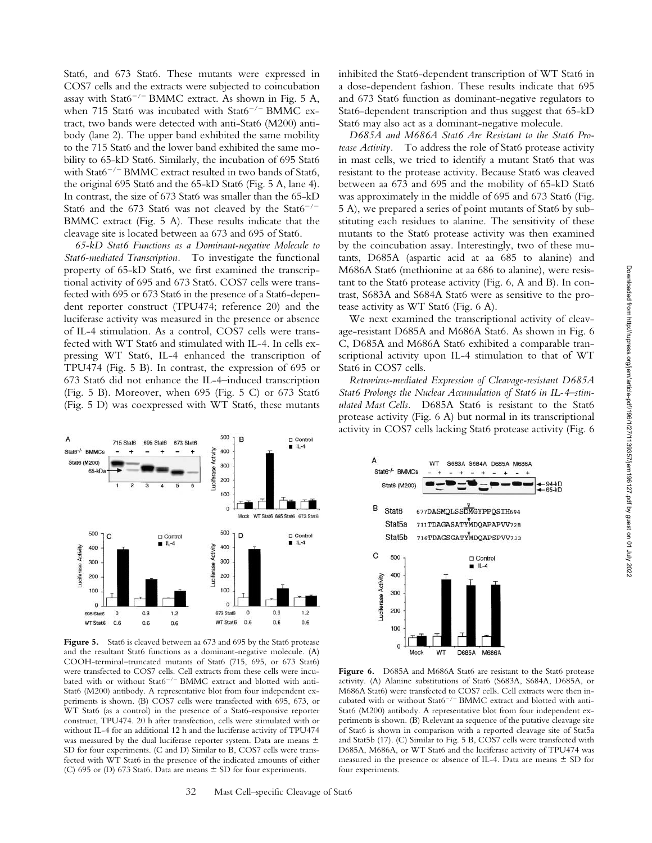Stat6, and 673 Stat6. These mutants were expressed in COS7 cells and the extracts were subjected to coincubation assay with Stat6<sup>-/-</sup> BMMC extract. As shown in Fig. 5 A, when 715 Stat6 was incubated with Stat6<sup>-/-</sup> BMMC extract, two bands were detected with anti-Stat6 (M200) antibody (lane 2). The upper band exhibited the same mobility to the 715 Stat6 and the lower band exhibited the same mobility to 65-kD Stat6. Similarly, the incubation of 695 Stat6 with Stat $6^{-/-}$ BMMC extract resulted in two bands of Stat6, the original 695 Stat6 and the 65-kD Stat6 (Fig. 5 A, lane 4). In contrast, the size of 673 Stat6 was smaller than the 65-kD Stat6 and the 673 Stat6 was not cleaved by the Stat6<sup>-/-</sup> BMMC extract (Fig. 5 A). These results indicate that the cleavage site is located between aa 673 and 695 of Stat6.

*65-kD Stat6 Functions as a Dominant-negative Molecule to Stat6-mediated Transcription.* To investigate the functional property of 65-kD Stat6, we first examined the transcriptional activity of 695 and 673 Stat6. COS7 cells were transfected with 695 or 673 Stat6 in the presence of a Stat6-dependent reporter construct (TPU474; reference 20) and the luciferase activity was measured in the presence or absence of IL-4 stimulation. As a control, COS7 cells were transfected with WT Stat6 and stimulated with IL-4. In cells expressing WT Stat6, IL-4 enhanced the transcription of TPU474 (Fig. 5 B). In contrast, the expression of 695 or 673 Stat6 did not enhance the IL-4–induced transcription (Fig. 5 B). Moreover, when 695 (Fig. 5 C) or 673 Stat6 (Fig. 5 D) was coexpressed with WT Stat6, these mutants



Figure 5. Stat6 is cleaved between aa 673 and 695 by the Stat6 protease and the resultant Stat6 functions as a dominant-negative molecule. (A) COOH-terminal–truncated mutants of Stat6 (715, 695, or 673 Stat6) were transfected to COS7 cells. Cell extracts from these cells were incubated with or without  $Stat6^{-/-}$  BMMC extract and blotted with anti-Stat6 (M200) antibody. A representative blot from four independent experiments is shown. (B) COS7 cells were transfected with 695, 673, or WT Stat6 (as a control) in the presence of a Stat6-responsive reporter construct, TPU474. 20 h after transfection, cells were stimulated with or without IL-4 for an additional 12 h and the luciferase activity of TPU474 was measured by the dual luciferase reporter system. Data are means  $\pm$ SD for four experiments. (C and D) Similar to B, COS7 cells were transfected with WT Stat6 in the presence of the indicated amounts of either (C) 695 or (D) 673 Stat6. Data are means  $\pm$  SD for four experiments.

inhibited the Stat6-dependent transcription of WT Stat6 in a dose-dependent fashion. These results indicate that 695 and 673 Stat6 function as dominant-negative regulators to Stat6-dependent transcription and thus suggest that 65-kD Stat6 may also act as a dominant-negative molecule.

*D685A and M686A Stat6 Are Resistant to the Stat6 Protease Activity.* To address the role of Stat6 protease activity in mast cells, we tried to identify a mutant Stat6 that was resistant to the protease activity. Because Stat6 was cleaved between aa 673 and 695 and the mobility of 65-kD Stat6 was approximately in the middle of 695 and 673 Stat6 (Fig. 5 A), we prepared a series of point mutants of Stat6 by substituting each residues to alanine. The sensitivity of these mutants to the Stat6 protease activity was then examined by the coincubation assay. Interestingly, two of these mutants, D685A (aspartic acid at aa 685 to alanine) and M686A Stat6 (methionine at aa 686 to alanine), were resistant to the Stat6 protease activity (Fig. 6, A and B). In contrast, S683A and S684A Stat6 were as sensitive to the protease activity as WT Stat6 (Fig. 6 A).

We next examined the transcriptional activity of cleavage-resistant D685A and M686A Stat6. As shown in Fig. 6 C, D685A and M686A Stat6 exhibited a comparable transcriptional activity upon IL-4 stimulation to that of WT Stat6 in COS7 cells.

*Retrovirus-mediated Expression of Cleavage-resistant D685A Stat6 Prolongs the Nuclear Accumulation of Stat6 in IL-4–stimulated Mast Cells.* D685A Stat6 is resistant to the Stat6 protease activity (Fig. 6 A) but normal in its transcriptional activity in COS7 cells lacking Stat6 protease activity (Fig. 6



Figure 6. D685A and M686A Stat6 are resistant to the Stat6 protease activity. (A) Alanine substitutions of Stat6 (S683A, S684A, D685A, or M686A Stat6) were transfected to COS7 cells. Cell extracts were then incubated with or without Stat6<sup>-/-</sup> BMMC extract and blotted with anti-Stat6 (M200) antibody. A representative blot from four independent experiments is shown. (B) Relevant aa sequence of the putative cleavage site of Stat6 is shown in comparison with a reported cleavage site of Stat5a and Stat5b (17). (C) Similar to Fig. 5 B, COS7 cells were transfected with D685A, M686A, or WT Stat6 and the luciferase activity of TPU474 was measured in the presence or absence of IL-4. Data are means  $\pm$  SD for four experiments.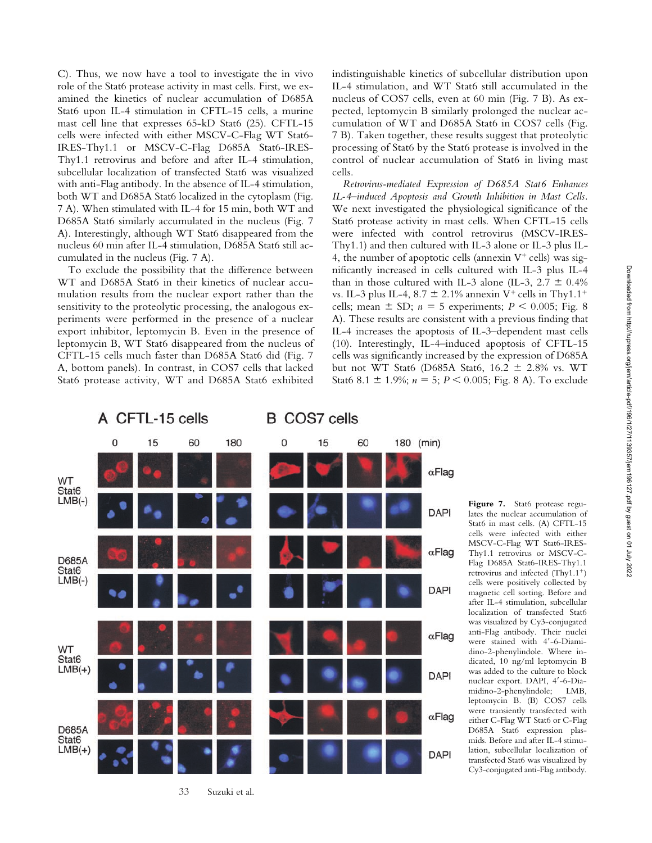C). Thus, we now have a tool to investigate the in vivo role of the Stat6 protease activity in mast cells. First, we examined the kinetics of nuclear accumulation of D685A Stat6 upon IL-4 stimulation in CFTL-15 cells, a murine mast cell line that expresses 65-kD Stat6 (25). CFTL-15 cells were infected with either MSCV-C-Flag WT Stat6- IRES-Thy1.1 or MSCV-C-Flag D685A Stat6-IRES-Thy1.1 retrovirus and before and after IL-4 stimulation, subcellular localization of transfected Stat6 was visualized with anti-Flag antibody. In the absence of IL-4 stimulation, both WT and D685A Stat6 localized in the cytoplasm (Fig. 7 A). When stimulated with IL-4 for 15 min, both WT and D685A Stat6 similarly accumulated in the nucleus (Fig. 7 A). Interestingly, although WT Stat6 disappeared from the nucleus 60 min after IL-4 stimulation, D685A Stat6 still accumulated in the nucleus (Fig. 7 A).

To exclude the possibility that the difference between WT and D685A Stat6 in their kinetics of nuclear accumulation results from the nuclear export rather than the sensitivity to the proteolytic processing, the analogous experiments were performed in the presence of a nuclear export inhibitor, leptomycin B. Even in the presence of leptomycin B, WT Stat6 disappeared from the nucleus of CFTL-15 cells much faster than D685A Stat6 did (Fig. 7 A, bottom panels). In contrast, in COS7 cells that lacked Stat6 protease activity, WT and D685A Stat6 exhibited indistinguishable kinetics of subcellular distribution upon IL-4 stimulation, and WT Stat6 still accumulated in the nucleus of COS7 cells, even at 60 min (Fig. 7 B). As expected, leptomycin B similarly prolonged the nuclear accumulation of WT and D685A Stat6 in COS7 cells (Fig. 7 B). Taken together, these results suggest that proteolytic processing of Stat6 by the Stat6 protease is involved in the control of nuclear accumulation of Stat6 in living mast cells.

*Retrovirus-mediated Expression of D685A Stat6 Enhances IL-4–induced Apoptosis and Growth Inhibition in Mast Cells.* We next investigated the physiological significance of the Stat6 protease activity in mast cells. When CFTL-15 cells were infected with control retrovirus (MSCV-IRES-Thy1.1) and then cultured with IL-3 alone or IL-3 plus IL-4, the number of apoptotic cells (annexin  $V^+$  cells) was significantly increased in cells cultured with IL-3 plus IL-4 than in those cultured with IL-3 alone (IL-3,  $2.7 \pm 0.4\%$ ) vs. IL-3 plus IL-4,  $8.7 \pm 2.1\%$  annexin V<sup>+</sup> cells in Thy1.1<sup>+</sup> cells; mean  $\pm$  SD;  $n = 5$  experiments;  $P \le 0.005$ ; Fig. 8 A). These results are consistent with a previous finding that IL-4 increases the apoptosis of IL-3–dependent mast cells (10). Interestingly, IL-4–induced apoptosis of CFTL-15 cells was significantly increased by the expression of D685A but not WT Stat6 (D685A Stat6,  $16.2 \pm 2.8\%$  vs. WT Stat6 8.1  $\pm$  1.9%; *n* = 5; *P* < 0.005; Fig. 8 A). To exclude



33 Suzuki et al.

**Figure 7.** Stat6 protease regulates the nuclear accumulation of Stat6 in mast cells. (A) CFTL-15 cells were infected with either MSCV-C-Flag WT Stat6-IRES-Thy1.1 retrovirus or MSCV-C-Flag D685A Stat6-IRES-Thy1.1 retrovirus and infected  $(Thy1.1^+)$ cells were positively collected by magnetic cell sorting. Before and after IL-4 stimulation, subcellular localization of transfected Stat6 was visualized by Cy3-conjugated anti-Flag antibody. Their nuclei were stained with 4-6-Diamidino-2-phenylindole. Where indicated, 10 ng/ml leptomycin B was added to the culture to block nuclear export. DAPI, 4-6-Diamidino-2-phenylindole; LMB, leptomycin B. (B) COS7 cells were transiently transfected with either C-Flag WT Stat6 or C-Flag D685A Stat6 expression plasmids. Before and after IL-4 stimulation, subcellular localization of transfected Stat6 was visualized by Cy3-conjugated anti-Flag antibody.

 $\alpha$ Flag  $\alpha$ Flag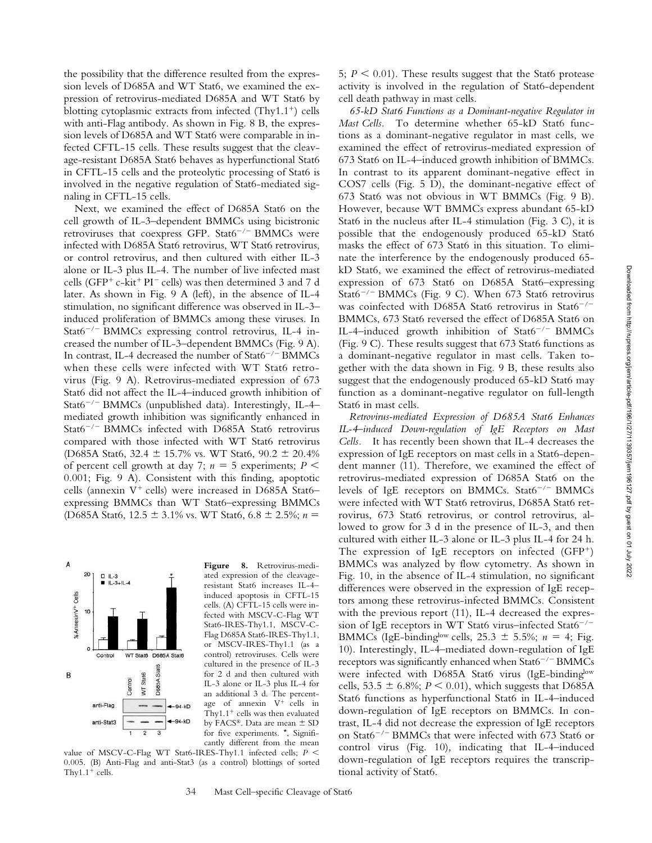the possibility that the difference resulted from the expression levels of D685A and WT Stat6, we examined the expression of retrovirus-mediated D685A and WT Stat6 by blotting cytoplasmic extracts from infected  $(Thy1.1^+)$  cells with anti-Flag antibody. As shown in Fig. 8 B, the expression levels of D685A and WT Stat6 were comparable in infected CFTL-15 cells. These results suggest that the cleavage-resistant D685A Stat6 behaves as hyperfunctional Stat6 in CFTL-15 cells and the proteolytic processing of Stat6 is involved in the negative regulation of Stat6-mediated signaling in CFTL-15 cells.

Next, we examined the effect of D685A Stat6 on the cell growth of IL-3–dependent BMMCs using bicistronic retroviruses that coexpress GFP. Stat6<sup>-/-</sup> BMMCs were infected with D685A Stat6 retrovirus, WT Stat6 retrovirus, or control retrovirus, and then cultured with either IL-3 alone or IL-3 plus IL-4. The number of live infected mast cells (GFP<sup>+</sup> c-kit<sup>+</sup> PI<sup>-</sup> cells) was then determined 3 and 7 d later. As shown in Fig. 9 A (left), in the absence of IL-4 stimulation, no significant difference was observed in IL-3– induced proliferation of BMMCs among these viruses. In Stat $6^{-/-}$  BMMCs expressing control retrovirus, IL-4 increased the number of IL-3–dependent BMMCs (Fig. 9 A). In contrast, IL-4 decreased the number of  $Stat6^{-/-}$ BMMCs when these cells were infected with WT Stat6 retrovirus (Fig. 9 A). Retrovirus-mediated expression of 673 Stat6 did not affect the IL-4–induced growth inhibition of Stat $6^{-/-}$  BMMCs (unpublished data). Interestingly, IL-4– mediated growth inhibition was significantly enhanced in Stat $6^{-/-}$  BMMCs infected with D685A Stat6 retrovirus compared with those infected with WT Stat6 retrovirus (D685A Stat6, 32.4  $\pm$  15.7% vs. WT Stat6, 90.2  $\pm$  20.4% of percent cell growth at day 7;  $n = 5$  experiments;  $P \leq$ 0.001; Fig. 9 A). Consistent with this finding, apoptotic cells (annexin  $V^+$  cells) were increased in D685A Stat6expressing BMMCs than WT Stat6–expressing BMMCs (D685A Stat6,  $12.5 \pm 3.1\%$  vs. WT Stat6,  $6.8 \pm 2.5\%$ ; *n* =



**Figure 8.** Retrovirus-mediated expression of the cleavageresistant Stat6 increases IL-4– induced apoptosis in CFTL-15 cells. (A) CFTL-15 cells were infected with MSCV-C-Flag WT Stat6-IRES-Thy1.1, MSCV-C-Flag D685A Stat6-IRES-Thy1.1, or MSCV-IRES-Thy1.1 (as a control) retroviruses. Cells were cultured in the presence of IL-3 for 2 d and then cultured with IL-3 alone or IL-3 plus IL-4 for an additional 3 d. The percentage of annexin  $V^+$  cells in Thy $1.1$ <sup>+</sup> cells was then evaluated by FACS®. Data are mean  $±$  SD for five experiments. \*, Significantly different from the mean

value of MSCV-C-Flag WT Stat6-IRES-Thy1.1 infected cells; *P*  0.005. (B) Anti-Flag and anti-Stat3 (as a control) blottings of sorted Thy $1.1$ <sup>+</sup> cells.

5;  $P \leq 0.01$ ). These results suggest that the Stat6 protease activity is involved in the regulation of Stat6-dependent cell death pathway in mast cells.

*65-kD Stat6 Functions as a Dominant-negative Regulator in Mast Cells.* To determine whether 65-kD Stat6 functions as a dominant-negative regulator in mast cells, we examined the effect of retrovirus-mediated expression of 673 Stat6 on IL-4–induced growth inhibition of BMMCs. In contrast to its apparent dominant-negative effect in COS7 cells (Fig. 5 D), the dominant-negative effect of 673 Stat6 was not obvious in WT BMMCs (Fig. 9 B). However, because WT BMMCs express abundant 65-kD Stat6 in the nucleus after IL-4 stimulation (Fig. 3 C), it is possible that the endogenously produced 65-kD Stat6 masks the effect of 673 Stat6 in this situation. To eliminate the interference by the endogenously produced 65 kD Stat6, we examined the effect of retrovirus-mediated expression of 673 Stat6 on D685A Stat6–expressing Stat6<sup>-/-</sup> BMMCs (Fig. 9 C). When 673 Stat6 retrovirus was coinfected with D685A Stat6 retrovirus in Stat6<sup>-/-</sup> BMMCs, 673 Stat6 reversed the effect of D685A Stat6 on IL-4-induced growth inhibition of Stat6<sup>-/-</sup> BMMCs (Fig. 9 C). These results suggest that 673 Stat6 functions as a dominant-negative regulator in mast cells. Taken together with the data shown in Fig. 9 B, these results also suggest that the endogenously produced 65-kD Stat6 may function as a dominant-negative regulator on full-length Stat6 in mast cells.

*Retrovirus-mediated Expression of D685A Stat6 Enhances IL-4–induced Down-regulation of IgE Receptors on Mast Cells.* It has recently been shown that IL-4 decreases the expression of IgE receptors on mast cells in a Stat6-dependent manner (11). Therefore, we examined the effect of retrovirus-mediated expression of D685A Stat6 on the levels of IgE receptors on BMMCs. Stat6<sup>-/-</sup> BMMCs were infected with WT Stat6 retrovirus, D685A Stat6 retrovirus, 673 Stat6 retrovirus, or control retrovirus, allowed to grow for 3 d in the presence of IL-3, and then cultured with either IL-3 alone or IL-3 plus IL-4 for 24 h. The expression of IgE receptors on infected  $(GFP<sup>+</sup>)$ BMMCs was analyzed by flow cytometry. As shown in Fig. 10, in the absence of IL-4 stimulation, no significant differences were observed in the expression of IgE receptors among these retrovirus-infected BMMCs. Consistent with the previous report (11), IL-4 decreased the expression of IgE receptors in WT Stat6 virus–infected Stat6<sup>-/-</sup> BMMCs (IgE-binding<sup>low</sup> cells, 25.3  $\pm$  5.5%; *n* = 4; Fig. 10). Interestingly, IL-4–mediated down-regulation of IgE receptors was significantly enhanced when  $Stat6^{-/-}$  BMMCs were infected with D685A Stat6 virus (IgE-bindinglow cells, 53.5  $\pm$  6.8%; *P* < 0.01), which suggests that D685A Stat6 functions as hyperfunctional Stat6 in IL-4–induced down-regulation of IgE receptors on BMMCs. In contrast, IL-4 did not decrease the expression of IgE receptors on Stat6<sup>-/-</sup> BMMCs that were infected with 673 Stat6 or control virus (Fig. 10), indicating that IL-4–induced down-regulation of IgE receptors requires the transcriptional activity of Stat6.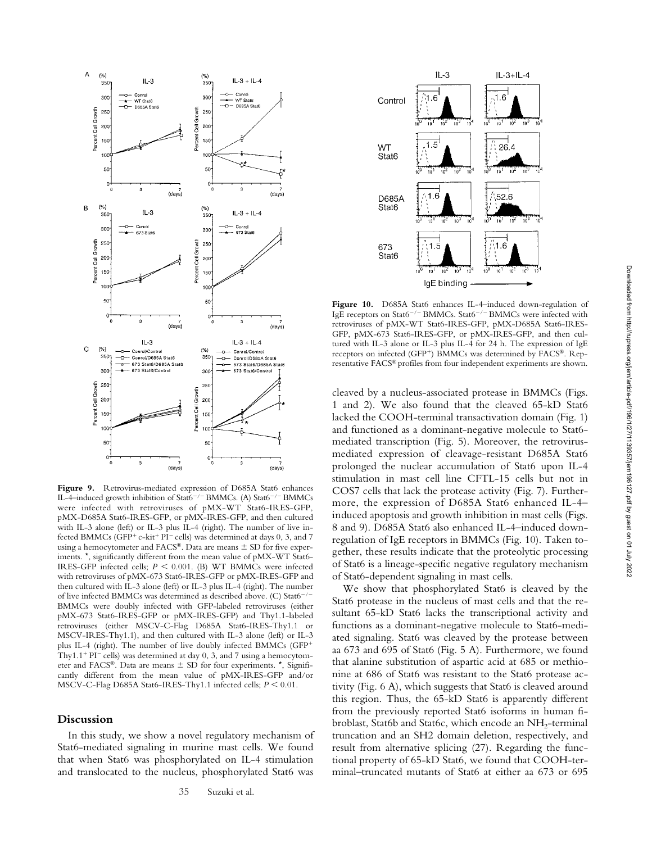

Figure 9. Retrovirus-mediated expression of D685A Stat6 enhances IL-4-induced growth inhibition of Stat6<sup>-/-</sup> BMMCs. (A) Stat6<sup>-/-</sup> BMMCs were infected with retroviruses of pMX-WT Stat6-IRES-GFP, pMX-D685A Stat6-IRES-GFP, or pMX-IRES-GFP, and then cultured with IL-3 alone (left) or IL-3 plus IL-4 (right). The number of live infected BMMCs (GFP<sup>+</sup> c-kit<sup>+</sup> PI<sup>-</sup> cells) was determined at days 0, 3, and 7 using a hemocytometer and  $FACS^{\circledast}$ . Data are means  $\pm$  SD for five experiments. \*, significantly different from the mean value of pMX-WT Stat6- IRES-GFP infected cells;  $P \leq 0.001$ . (B) WT BMMCs were infected with retroviruses of pMX-673 Stat6-IRES-GFP or pMX-IRES-GFP and then cultured with IL-3 alone (left) or IL-3 plus IL-4 (right). The number of live infected BMMCs was determined as described above. (C) Stat6<sup>-</sup> BMMCs were doubly infected with GFP-labeled retroviruses (either pMX-673 Stat6-IRES-GFP or pMX-IRES-GFP) and Thy1.1-labeled retroviruses (either MSCV-C-Flag D685A Stat6-IRES-Thy1.1 or MSCV-IRES-Thy1.1), and then cultured with IL-3 alone (left) or IL-3 plus IL-4 (right). The number of live doubly infected BMMCs (GFP<sup>+</sup> Thy1.1<sup>+</sup> PI<sup> $-$ </sup> cells) was determined at day 0, 3, and 7 using a hemocytometer and FACS®. Data are means  $\pm$  SD for four experiments.  $*$ , Significantly different from the mean value of pMX-IRES-GFP and/or MSCV-C-Flag D685A Stat6-IRES-Thy1.1 infected cells;  $P \le 0.01$ .

### **Discussion**

In this study, we show a novel regulatory mechanism of Stat6-mediated signaling in murine mast cells. We found that when Stat6 was phosphorylated on IL-4 stimulation and translocated to the nucleus, phosphorylated Stat6 was



**Figure 10.** D685A Stat6 enhances IL-4–induced down-regulation of IgE receptors on Stat6<sup>-/-</sup> BMMCs. Stat6<sup>-/-</sup> BMMCs were infected with retroviruses of pMX-WT Stat6-IRES-GFP, pMX-D685A Stat6-IRES-GFP, pMX-673 Stat6-IRES-GFP, or pMX-IRES-GFP, and then cultured with IL-3 alone or IL-3 plus IL-4 for 24 h. The expression of IgE receptors on infected (GFP<sup>+</sup>) BMMCs was determined by FACS®. Representative FACS® profiles from four independent experiments are shown.

cleaved by a nucleus-associated protease in BMMCs (Figs. 1 and 2). We also found that the cleaved 65-kD Stat6 lacked the COOH-terminal transactivation domain (Fig. 1) and functioned as a dominant-negative molecule to Stat6 mediated transcription (Fig. 5). Moreover, the retrovirusmediated expression of cleavage-resistant D685A Stat6 prolonged the nuclear accumulation of Stat6 upon IL-4 stimulation in mast cell line CFTL-15 cells but not in COS7 cells that lack the protease activity (Fig. 7). Furthermore, the expression of D685A Stat6 enhanced IL-4– induced apoptosis and growth inhibition in mast cells (Figs. 8 and 9). D685A Stat6 also enhanced IL-4–induced downregulation of IgE receptors in BMMCs (Fig. 10). Taken together, these results indicate that the proteolytic processing of Stat6 is a lineage-specific negative regulatory mechanism of Stat6-dependent signaling in mast cells.

We show that phosphorylated Stat6 is cleaved by the Stat6 protease in the nucleus of mast cells and that the resultant 65-kD Stat6 lacks the transcriptional activity and functions as a dominant-negative molecule to Stat6-mediated signaling. Stat6 was cleaved by the protease between aa 673 and 695 of Stat6 (Fig. 5 A). Furthermore, we found that alanine substitution of aspartic acid at 685 or methionine at 686 of Stat6 was resistant to the Stat6 protease activity (Fig. 6 A), which suggests that Stat6 is cleaved around this region. Thus, the 65-kD Stat6 is apparently different from the previously reported Stat6 isoforms in human fibroblast, Stat6b and Stat6c, which encode an NH<sub>2</sub>-terminal truncation and an SH2 domain deletion, respectively, and result from alternative splicing (27). Regarding the functional property of 65-kD Stat6, we found that COOH-terminal–truncated mutants of Stat6 at either aa 673 or 695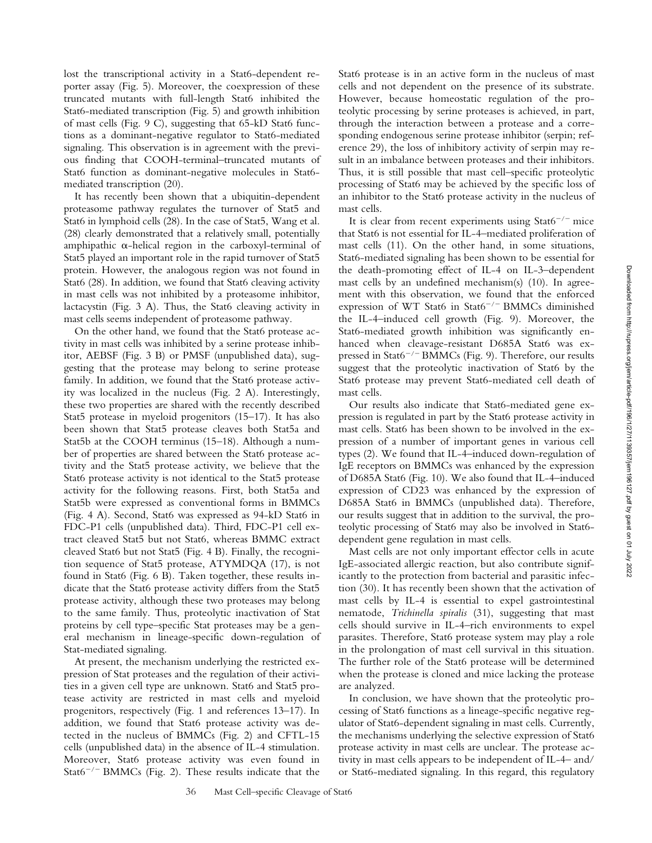lost the transcriptional activity in a Stat6-dependent reporter assay (Fig. 5). Moreover, the coexpression of these truncated mutants with full-length Stat6 inhibited the Stat6-mediated transcription (Fig. 5) and growth inhibition of mast cells (Fig. 9 C), suggesting that 65-kD Stat6 functions as a dominant-negative regulator to Stat6-mediated signaling. This observation is in agreement with the previous finding that COOH-terminal–truncated mutants of Stat6 function as dominant-negative molecules in Stat6 mediated transcription (20).

It has recently been shown that a ubiquitin-dependent proteasome pathway regulates the turnover of Stat5 and Stat6 in lymphoid cells (28). In the case of Stat5, Wang et al. (28) clearly demonstrated that a relatively small, potentially amphipathic  $\alpha$ -helical region in the carboxyl-terminal of Stat5 played an important role in the rapid turnover of Stat5 protein. However, the analogous region was not found in Stat6 (28). In addition, we found that Stat6 cleaving activity in mast cells was not inhibited by a proteasome inhibitor, lactacystin (Fig. 3 A). Thus, the Stat6 cleaving activity in mast cells seems independent of proteasome pathway.

On the other hand, we found that the Stat6 protease activity in mast cells was inhibited by a serine protease inhibitor, AEBSF (Fig. 3 B) or PMSF (unpublished data), suggesting that the protease may belong to serine protease family. In addition, we found that the Stat6 protease activity was localized in the nucleus (Fig. 2 A). Interestingly, these two properties are shared with the recently described Stat5 protease in myeloid progenitors (15–17). It has also been shown that Stat5 protease cleaves both Stat5a and Stat5b at the COOH terminus (15–18). Although a number of properties are shared between the Stat6 protease activity and the Stat5 protease activity, we believe that the Stat6 protease activity is not identical to the Stat5 protease activity for the following reasons. First, both Stat5a and Stat5b were expressed as conventional forms in BMMCs (Fig. 4 A). Second, Stat6 was expressed as 94-kD Stat6 in FDC-P1 cells (unpublished data). Third, FDC-P1 cell extract cleaved Stat5 but not Stat6, whereas BMMC extract cleaved Stat6 but not Stat5 (Fig. 4 B). Finally, the recognition sequence of Stat5 protease, ATYMDQA (17), is not found in Stat6 (Fig. 6 B). Taken together, these results indicate that the Stat6 protease activity differs from the Stat5 protease activity, although these two proteases may belong to the same family. Thus, proteolytic inactivation of Stat proteins by cell type–specific Stat proteases may be a general mechanism in lineage-specific down-regulation of Stat-mediated signaling.

At present, the mechanism underlying the restricted expression of Stat proteases and the regulation of their activities in a given cell type are unknown. Stat6 and Stat5 protease activity are restricted in mast cells and myeloid progenitors, respectively (Fig. 1 and references 13–17). In addition, we found that Stat6 protease activity was detected in the nucleus of BMMCs (Fig. 2) and CFTL-15 cells (unpublished data) in the absence of IL-4 stimulation. Moreover, Stat6 protease activity was even found in Stat $6^{-/-}$  BMMCs (Fig. 2). These results indicate that the

Stat6 protease is in an active form in the nucleus of mast cells and not dependent on the presence of its substrate. However, because homeostatic regulation of the proteolytic processing by serine proteases is achieved, in part, through the interaction between a protease and a corresponding endogenous serine protease inhibitor (serpin; reference 29), the loss of inhibitory activity of serpin may result in an imbalance between proteases and their inhibitors. Thus, it is still possible that mast cell–specific proteolytic processing of Stat6 may be achieved by the specific loss of an inhibitor to the Stat6 protease activity in the nucleus of mast cells.

It is clear from recent experiments using  $Stat6^{-/-}$  mice that Stat6 is not essential for IL-4–mediated proliferation of mast cells (11). On the other hand, in some situations, Stat6-mediated signaling has been shown to be essential for the death-promoting effect of IL-4 on IL-3–dependent mast cells by an undefined mechanism(s) (10). In agreement with this observation, we found that the enforced expression of WT Stat6 in Stat6<sup>-/-</sup> BMMCs diminished the IL-4–induced cell growth (Fig. 9). Moreover, the Stat6-mediated growth inhibition was significantly enhanced when cleavage-resistant D685A Stat6 was expressed in Stat6<sup>-/-</sup> BMMCs (Fig. 9). Therefore, our results suggest that the proteolytic inactivation of Stat6 by the Stat6 protease may prevent Stat6-mediated cell death of mast cells.

Our results also indicate that Stat6-mediated gene expression is regulated in part by the Stat6 protease activity in mast cells. Stat6 has been shown to be involved in the expression of a number of important genes in various cell types (2). We found that IL-4–induced down-regulation of IgE receptors on BMMCs was enhanced by the expression of D685A Stat6 (Fig. 10). We also found that IL-4–induced expression of CD23 was enhanced by the expression of D685A Stat6 in BMMCs (unpublished data). Therefore, our results suggest that in addition to the survival, the proteolytic processing of Stat6 may also be involved in Stat6 dependent gene regulation in mast cells.

Mast cells are not only important effector cells in acute IgE-associated allergic reaction, but also contribute significantly to the protection from bacterial and parasitic infection (30). It has recently been shown that the activation of mast cells by IL-4 is essential to expel gastrointestinal nematode, *Trichinella spiralis* (31), suggesting that mast cells should survive in IL-4–rich environments to expel parasites. Therefore, Stat6 protease system may play a role in the prolongation of mast cell survival in this situation. The further role of the Stat6 protease will be determined when the protease is cloned and mice lacking the protease are analyzed.

In conclusion, we have shown that the proteolytic processing of Stat6 functions as a lineage-specific negative regulator of Stat6-dependent signaling in mast cells. Currently, the mechanisms underlying the selective expression of Stat6 protease activity in mast cells are unclear. The protease activity in mast cells appears to be independent of IL-4– and/ or Stat6-mediated signaling. In this regard, this regulatory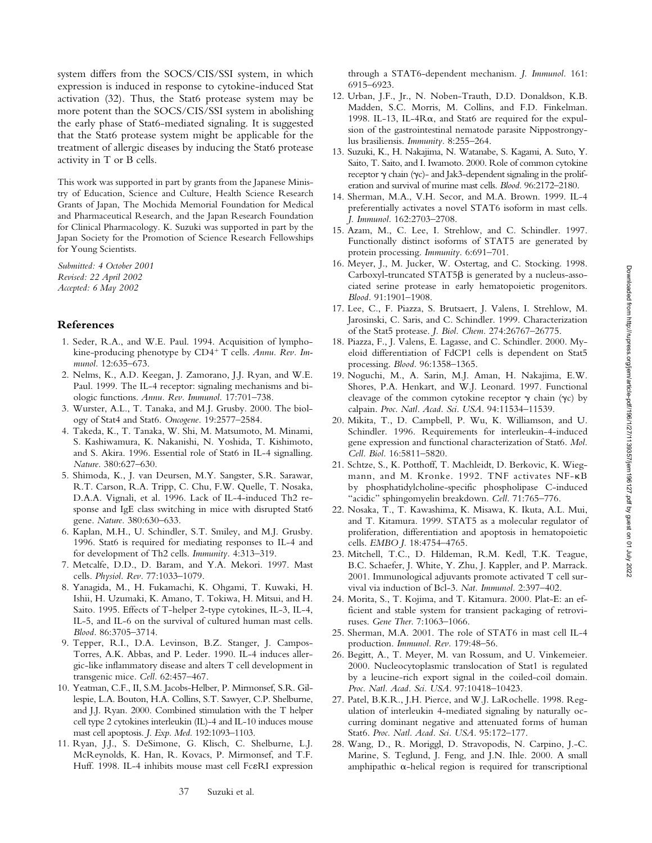system differs from the SOCS/CIS/SSI system, in which expression is induced in response to cytokine-induced Stat activation (32). Thus, the Stat6 protease system may be more potent than the SOCS/CIS/SSI system in abolishing the early phase of Stat6-mediated signaling. It is suggested that the Stat6 protease system might be applicable for the treatment of allergic diseases by inducing the Stat6 protease activity in T or B cells.

This work was supported in part by grants from the Japanese Ministry of Education, Science and Culture, Health Science Research Grants of Japan, The Mochida Memorial Foundation for Medical and Pharmaceutical Research, and the Japan Research Foundation for Clinical Pharmacology. K. Suzuki was supported in part by the Japan Society for the Promotion of Science Research Fellowships for Young Scientists.

*Submitted: 4 October 2001 Revised: 22 April 2002 Accepted: 6 May 2002*

#### **References**

- 1. Seder, R.A., and W.E. Paul. 1994. Acquisition of lymphokine-producing phenotype by CD4<sup>+</sup> T cells. Annu. Rev. Im*munol.* 12:635–673.
- 2. Nelms, K., A.D. Keegan, J. Zamorano, J.J. Ryan, and W.E. Paul. 1999. The IL-4 receptor: signaling mechanisms and biologic functions. *Annu. Rev. Immunol.* 17:701–738.
- 3. Wurster, A.L., T. Tanaka, and M.J. Grusby. 2000. The biology of Stat4 and Stat6. *Oncogene.* 19:2577–2584.
- 4. Takeda, K., T. Tanaka, W. Shi, M. Matsumoto, M. Minami, S. Kashiwamura, K. Nakanishi, N. Yoshida, T. Kishimoto, and S. Akira. 1996. Essential role of Stat6 in IL-4 signalling. *Nature.* 380:627–630.
- 5. Shimoda, K., J. van Deursen, M.Y. Sangster, S.R. Sarawar, R.T. Carson, R.A. Tripp, C. Chu, F.W. Quelle, T. Nosaka, D.A.A. Vignali, et al. 1996. Lack of IL-4-induced Th2 response and IgE class switching in mice with disrupted Stat6 gene. *Nature.* 380:630–633.
- 6. Kaplan, M.H., U. Schindler, S.T. Smiley, and M.J. Grusby. 1996. Stat6 is required for mediating responses to IL-4 and for development of Th2 cells. *Immunity.* 4:313–319.
- 7. Metcalfe, D.D., D. Baram, and Y.A. Mekori. 1997. Mast cells. *Physiol. Rev.* 77:1033–1079.
- 8. Yanagida, M., H. Fukamachi, K. Ohgami, T. Kuwaki, H. Ishii, H. Uzumaki, K. Amano, T. Tokiwa, H. Mitsui, and H. Saito. 1995. Effects of T-helper 2-type cytokines, IL-3, IL-4, IL-5, and IL-6 on the survival of cultured human mast cells. *Blood.* 86:3705–3714.
- 9. Tepper, R.I., D.A. Levinson, B.Z. Stanger, J. Campos-Torres, A.K. Abbas, and P. Leder. 1990. IL-4 induces allergic-like inflammatory disease and alters T cell development in transgenic mice. *Cell.* 62:457–467.
- 10. Yeatman, C.F., II, S.M. Jacobs-Helber, P. Mirmonsef, S.R. Gillespie, L.A. Bouton, H.A. Collins, S.T. Sawyer, C.P. Shelburne, and J.J. Ryan. 2000. Combined stimulation with the T helper cell type 2 cytokines interleukin (IL)-4 and IL-10 induces mouse mast cell apoptosis. *J. Exp. Med.* 192:1093–1103.
- 11. Ryan, J.J., S. DeSimone, G. Klisch, C. Shelburne, L.J. McReynolds, K. Han, R. Kovacs, P. Mirmonsef, and T.F. Huff. 1998. IL-4 inhibits mouse mast cell Fc&RI expression

through a STAT6-dependent mechanism. *J. Immunol.* 161: 6915–6923.

- 12. Urban, J.F., Jr., N. Noben-Trauth, D.D. Donaldson, K.B. Madden, S.C. Morris, M. Collins, and F.D. Finkelman. 1998. IL-13, IL-4 $R\alpha$ , and Stat6 are required for the expulsion of the gastrointestinal nematode parasite Nippostrongylus brasiliensis. *Immunity.* 8:255–264.
- 13. Suzuki, K., H. Nakajima, N. Watanabe, S. Kagami, A. Suto, Y. Saito, T. Saito, and I. Iwamoto. 2000. Role of common cytokine receptor  $\gamma$  chain ( $\gamma$ c)- and Jak3-dependent signaling in the proliferation and survival of murine mast cells. *Blood.* 96:2172–2180.
- 14. Sherman, M.A., V.H. Secor, and M.A. Brown. 1999. IL-4 preferentially activates a novel STAT6 isoform in mast cells. *J. Immunol.* 162:2703–2708.
- 15. Azam, M., C. Lee, I. Strehlow, and C. Schindler. 1997. Functionally distinct isoforms of STAT5 are generated by protein processing. *Immunity.* 6:691–701.
- 16. Meyer, J., M. Jucker, W. Ostertag, and C. Stocking. 1998. Carboxyl-truncated STAT5 $\beta$  is generated by a nucleus-associated serine protease in early hematopoietic progenitors. *Blood.* 91:1901–1908.
- 17. Lee, C., F. Piazza, S. Brutsaert, J. Valens, I. Strehlow, M. Jarosinski, C. Saris, and C. Schindler. 1999. Characterization of the Stat5 protease. *J. Biol. Chem.* 274:26767–26775.
- 18. Piazza, F., J. Valens, E. Lagasse, and C. Schindler. 2000. Myeloid differentiation of FdCP1 cells is dependent on Stat5 processing. *Blood.* 96:1358–1365.
- 19. Noguchi, M., A. Sarin, M.J. Aman, H. Nakajima, E.W. Shores, P.A. Henkart, and W.J. Leonard. 1997. Functional cleavage of the common cytokine receptor  $\gamma$  chain ( $\gamma c$ ) by calpain. *Proc. Natl. Acad. Sci. USA.* 94:11534–11539.
- 20. Mikita, T., D. Campbell, P. Wu, K. Williamson, and U. Schindler. 1996. Requirements for interleukin-4-induced gene expression and functional characterization of Stat6. *Mol. Cell. Biol.* 16:5811–5820.
- 21. Schtze, S., K. Potthoff, T. Machleidt, D. Berkovic, K. Wiegmann, and M. Kronke. 1992. TNF activates NF-KB by phosphatidylcholine-specific phospholipase C-induced "acidic" sphingomyelin breakdown. *Cell.* 71:765–776.
- 22. Nosaka, T., T. Kawashima, K. Misawa, K. Ikuta, A.L. Mui, and T. Kitamura. 1999. STAT5 as a molecular regulator of proliferation, differentiation and apoptosis in hematopoietic cells. *EMBO J.* 18:4754–4765.
- 23. Mitchell, T.C., D. Hildeman, R.M. Kedl, T.K. Teague, B.C. Schaefer, J. White, Y. Zhu, J. Kappler, and P. Marrack. 2001. Immunological adjuvants promote activated T cell survival via induction of Bcl-3. *Nat. Immunol.* 2:397–402.
- 24. Morita, S., T. Kojima, and T. Kitamura. 2000. Plat-E: an efficient and stable system for transient packaging of retroviruses. *Gene Ther.* 7:1063–1066.
- 25. Sherman, M.A. 2001. The role of STAT6 in mast cell IL-4 production. *Immunol. Rev.* 179:48–56.
- 26. Begitt, A., T. Meyer, M. van Rossum, and U. Vinkemeier. 2000. Nucleocytoplasmic translocation of Stat1 is regulated by a leucine-rich export signal in the coiled-coil domain. *Proc. Natl. Acad. Sci. USA.* 97:10418–10423.
- 27. Patel, B.K.R., J.H. Pierce, and W.J. LaRochelle. 1998. Regulation of interleukin 4-mediated signaling by naturally occurring dominant negative and attenuated forms of human Stat6. *Proc. Natl. Acad. Sci. USA.* 95:172–177.
- 28. Wang, D., R. Moriggl, D. Stravopodis, N. Carpino, J.-C. Marine, S. Teglund, J. Feng, and J.N. Ihle. 2000. A small amphipathic  $\alpha$ -helical region is required for transcriptional